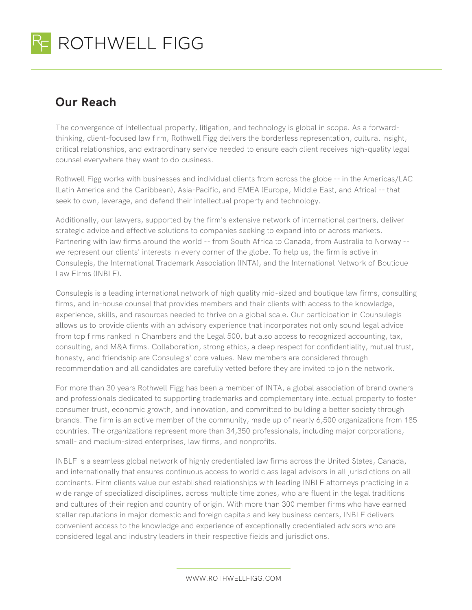

## **Our Reach**

The convergence of intellectual property, litigation, and technology is global in scope. As a forwardthinking, client-focused law firm, Rothwell Figg delivers the borderless representation, cultural insight, critical relationships, and extraordinary service needed to ensure each client receives high-quality legal counsel everywhere they want to do business.

Rothwell Figg works with businesses and individual clients from across the globe -- in the Americas/LAC (Latin America and the Caribbean), Asia-Pacific, and EMEA (Europe, Middle East, and Africa) -- that seek to own, leverage, and defend their intellectual property and technology.

Additionally, our lawyers, supported by the firm's extensive network of international partners, deliver strategic advice and effective solutions to companies seeking to expand into or across markets. Partnering with law firms around the world -- from South Africa to Canada, from Australia to Norway - we represent our clients' interests in every corner of the globe. To help us, the firm is active in Consulegis, the International Trademark Association (INTA), and the International Network of Boutique Law Firms (INBLF).

Consulegis is a leading international network of high quality mid-sized and boutique law firms, consulting firms, and in-house counsel that provides members and their clients with access to the knowledge, experience, skills, and resources needed to thrive on a global scale. Our participation in Counsulegis allows us to provide clients with an advisory experience that incorporates not only sound legal advice from top firms ranked in Chambers and the Legal 500, but also access to recognized accounting, tax, consulting, and M&A firms. Collaboration, strong ethics, a deep respect for confidentiality, mutual trust, honesty, and friendship are Consulegis' core values. New members are considered through recommendation and all candidates are carefully vetted before they are invited to join the network.

For more than 30 years Rothwell Figg has been a member of INTA, a global association of brand owners and professionals dedicated to supporting trademarks and complementary intellectual property to foster consumer trust, economic growth, and innovation, and committed to building a better society through brands. The firm is an active member of the community, made up of nearly 6,500 organizations from 185 countries. The organizations represent more than 34,350 professionals, including major corporations, small- and medium-sized enterprises, law firms, and nonprofits.

INBLF is a seamless global network of highly credentialed law firms across the United States, Canada, and internationally that ensures continuous access to world class legal advisors in all jurisdictions on all continents. Firm clients value our established relationships with leading INBLF attorneys practicing in a wide range of specialized disciplines, across multiple time zones, who are fluent in the legal traditions and cultures of their region and country of origin. With more than 300 member firms who have earned stellar reputations in major domestic and foreign capitals and key business centers, INBLF delivers convenient access to the knowledge and experience of exceptionally credentialed advisors who are considered legal and industry leaders in their respective fields and jurisdictions.